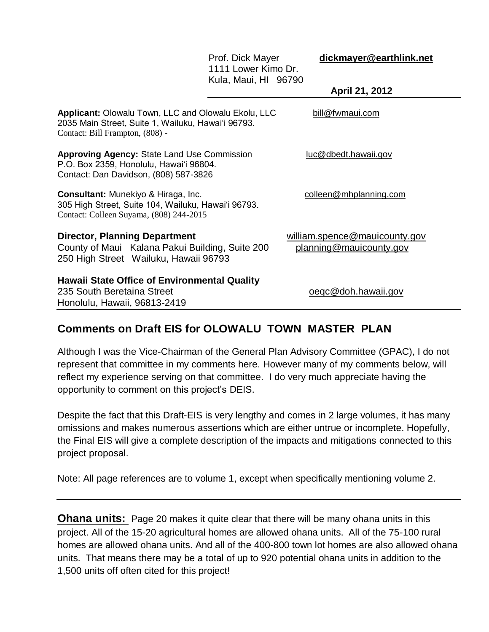|                                                                                                                                              | Prof. Dick Mayer<br>1111 Lower Kimo Dr.<br>Kula, Maui, HI 96790 | dickmayer@earthlink.net<br>April 21, 2012                |
|----------------------------------------------------------------------------------------------------------------------------------------------|-----------------------------------------------------------------|----------------------------------------------------------|
| Applicant: Olowalu Town, LLC and Olowalu Ekolu, LLC<br>2035 Main Street, Suite 1, Wailuku, Hawai'i 96793.<br>Contact: Bill Frampton, (808) - |                                                                 | bill@fwmaui.com                                          |
| <b>Approving Agency: State Land Use Commission</b><br>P.O. Box 2359, Honolulu, Hawai'i 96804.<br>Contact: Dan Davidson, (808) 587-3826       |                                                                 | luc@dbedt.hawaii.gov                                     |
| Consultant: Munekiyo & Hiraga, Inc.<br>305 High Street, Suite 104, Wailuku, Hawai'i 96793.<br>Contact: Colleen Suyama, (808) 244-2015        |                                                                 | colleen@mhplanning.com                                   |
| <b>Director, Planning Department</b><br>County of Maui Kalana Pakui Building, Suite 200<br>250 High Street Wailuku, Hawaii 96793             |                                                                 | william.spence@mauicounty.gov<br>planning@mauicounty.gov |
| <b>Hawaii State Office of Environmental Quality</b><br>235 South Beretaina Street<br>Honolulu, Hawaii, 96813-2419                            |                                                                 | oegc@doh.hawaii.gov                                      |

# **Comments on Draft EIS for OLOWALU TOWN MASTER PLAN**

Although I was the Vice-Chairman of the General Plan Advisory Committee (GPAC), I do not represent that committee in my comments here. However many of my comments below, will reflect my experience serving on that committee. I do very much appreciate having the opportunity to comment on this project's DEIS.

Despite the fact that this Draft-EIS is very lengthy and comes in 2 large volumes, it has many omissions and makes numerous assertions which are either untrue or incomplete. Hopefully, the Final EIS will give a complete description of the impacts and mitigations connected to this project proposal.

Note: All page references are to volume 1, except when specifically mentioning volume 2.

**Ohana units:** Page 20 makes it quite clear that there will be many ohana units in this project. All of the 15-20 agricultural homes are allowed ohana units. All of the 75-100 rural homes are allowed ohana units. And all of the 400-800 town lot homes are also allowed ohana units. That means there may be a total of up to 920 potential ohana units in addition to the 1,500 units off often cited for this project!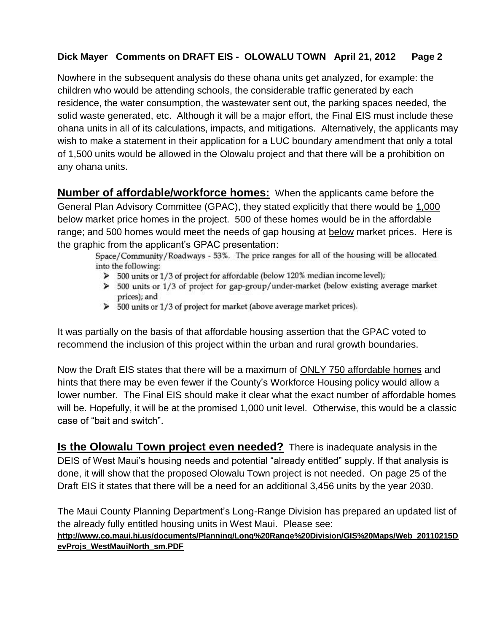Nowhere in the subsequent analysis do these ohana units get analyzed, for example: the children who would be attending schools, the considerable traffic generated by each residence, the water consumption, the wastewater sent out, the parking spaces needed, the solid waste generated, etc. Although it will be a major effort, the Final EIS must include these ohana units in all of its calculations, impacts, and mitigations. Alternatively, the applicants may wish to make a statement in their application for a LUC boundary amendment that only a total of 1,500 units would be allowed in the Olowalu project and that there will be a prohibition on any ohana units.

**Number of affordable/workforce homes:** When the applicants came before the General Plan Advisory Committee (GPAC), they stated explicitly that there would be 1,000 below market price homes in the project. 500 of these homes would be in the affordable range; and 500 homes would meet the needs of gap housing at below market prices. Here is the graphic from the applicant's GPAC presentation:

Space/Community/Roadways - 53%. The price ranges for all of the housing will be allocated into the following:

- > 500 units or 1/3 of project for affordable (below 120% median income level);
- $\triangleright$  500 units or 1/3 of project for gap-group/under-market (below existing average market prices); and
- > 500 units or 1/3 of project for market (above average market prices).

It was partially on the basis of that affordable housing assertion that the GPAC voted to recommend the inclusion of this project within the urban and rural growth boundaries.

Now the Draft EIS states that there will be a maximum of ONLY 750 affordable homes and hints that there may be even fewer if the County's Workforce Housing policy would allow a lower number. The Final EIS should make it clear what the exact number of affordable homes will be. Hopefully, it will be at the promised 1,000 unit level. Otherwise, this would be a classic case of "bait and switch".

**Is the Olowalu Town project even needed?** There is inadequate analysis in the DEIS of West Maui's housing needs and potential "already entitled" supply. If that analysis is done, it will show that the proposed Olowalu Town project is not needed. On page 25 of the Draft EIS it states that there will be a need for an additional 3,456 units by the year 2030.

The Maui County Planning Department's Long-Range Division has prepared an updated list of the already fully entitled housing units in West Maui. Please see: **[http://www.co.maui.hi.us/documents/Planning/Long%20Range%20Division/GIS%20Maps/Web\\_20110215D](http://www.co.maui.hi.us/documents/Planning/Long%20Range%20Division/GIS%20Maps/Web_20110215DevProjs_WestMauiNorth_sm.PDF) [evProjs\\_WestMauiNorth\\_sm.PDF](http://www.co.maui.hi.us/documents/Planning/Long%20Range%20Division/GIS%20Maps/Web_20110215DevProjs_WestMauiNorth_sm.PDF)**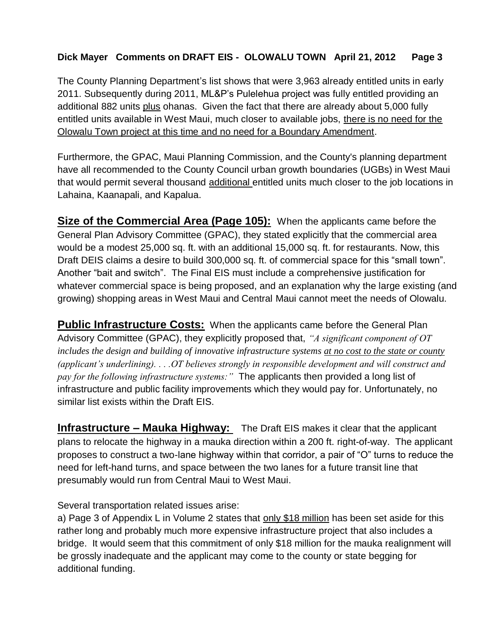The County Planning Department's list shows that were 3,963 already entitled units in early 2011. Subsequently during 2011, ML&P's Pulelehua project was fully entitled providing an additional 882 units plus ohanas. Given the fact that there are already about 5,000 fully entitled units available in West Maui, much closer to available jobs, there is no need for the Olowalu Town project at this time and no need for a Boundary Amendment.

Furthermore, the GPAC, Maui Planning Commission, and the County's planning department have all recommended to the County Council urban growth boundaries (UGBs) in West Maui that would permit several thousand additional entitled units much closer to the job locations in Lahaina, Kaanapali, and Kapalua.

**Size of the Commercial Area (Page 105):** When the applicants came before the General Plan Advisory Committee (GPAC), they stated explicitly that the commercial area would be a modest 25,000 sq. ft. with an additional 15,000 sq. ft. for restaurants. Now, this Draft DEIS claims a desire to build 300,000 sq. ft. of commercial space for this "small town". Another "bait and switch". The Final EIS must include a comprehensive justification for whatever commercial space is being proposed, and an explanation why the large existing (and growing) shopping areas in West Maui and Central Maui cannot meet the needs of Olowalu.

**Public Infrastructure Costs:** When the applicants came before the General Plan Advisory Committee (GPAC), they explicitly proposed that, *"A significant component of OT includes the design and building of innovative infrastructure systems at no cost to the state or county (applicant's underlining). . . .OT believes strongly in responsible development and will construct and pay for the following infrastructure systems:"* The applicants then provided a long list of infrastructure and public facility improvements which they would pay for. Unfortunately, no similar list exists within the Draft EIS.

**Infrastructure – Mauka Highway:** The Draft EIS makes it clear that the applicant plans to relocate the highway in a mauka direction within a 200 ft. right-of-way. The applicant proposes to construct a two-lane highway within that corridor, a pair of "O" turns to reduce the need for left-hand turns, and space between the two lanes for a future transit line that presumably would run from Central Maui to West Maui.

#### Several transportation related issues arise:

a) Page 3 of Appendix L in Volume 2 states that only \$18 million has been set aside for this rather long and probably much more expensive infrastructure project that also includes a bridge. It would seem that this commitment of only \$18 million for the mauka realignment will be grossly inadequate and the applicant may come to the county or state begging for additional funding.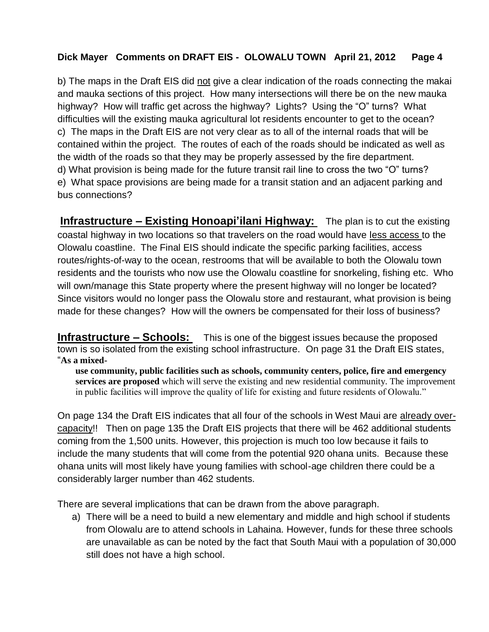b) The maps in the Draft EIS did not give a clear indication of the roads connecting the makai and mauka sections of this project. How many intersections will there be on the new mauka highway? How will traffic get across the highway? Lights? Using the "O" turns? What difficulties will the existing mauka agricultural lot residents encounter to get to the ocean? c) The maps in the Draft EIS are not very clear as to all of the internal roads that will be contained within the project. The routes of each of the roads should be indicated as well as the width of the roads so that they may be properly assessed by the fire department. d) What provision is being made for the future transit rail line to cross the two "O" turns? e) What space provisions are being made for a transit station and an adjacent parking and bus connections?

**Infrastructure – Existing Honoapi'ilani Highway:** The plan is to cut the existing coastal highway in two locations so that travelers on the road would have less access to the Olowalu coastline. The Final EIS should indicate the specific parking facilities, access routes/rights-of-way to the ocean, restrooms that will be available to both the Olowalu town residents and the tourists who now use the Olowalu coastline for snorkeling, fishing etc. Who will own/manage this State property where the present highway will no longer be located? Since visitors would no longer pass the Olowalu store and restaurant, what provision is being made for these changes? How will the owners be compensated for their loss of business?

**Infrastructure – Schools:** This is one of the biggest issues because the proposed town is so isolated from the existing school infrastructure. On page 31 the Draft EIS states, "**As a mixed-**

**use community, public facilities such as schools, community centers, police, fire and emergency services are proposed** which will serve the existing and new residential community. The improvement in public facilities will improve the quality of life for existing and future residents of Olowalu."

On page 134 the Draft EIS indicates that all four of the schools in West Maui are already overcapacity!! Then on page 135 the Draft EIS projects that there will be 462 additional students coming from the 1,500 units. However, this projection is much too low because it fails to include the many students that will come from the potential 920 ohana units. Because these ohana units will most likely have young families with school-age children there could be a considerably larger number than 462 students.

There are several implications that can be drawn from the above paragraph.

a) There will be a need to build a new elementary and middle and high school if students from Olowalu are to attend schools in Lahaina. However, funds for these three schools are unavailable as can be noted by the fact that South Maui with a population of 30,000 still does not have a high school.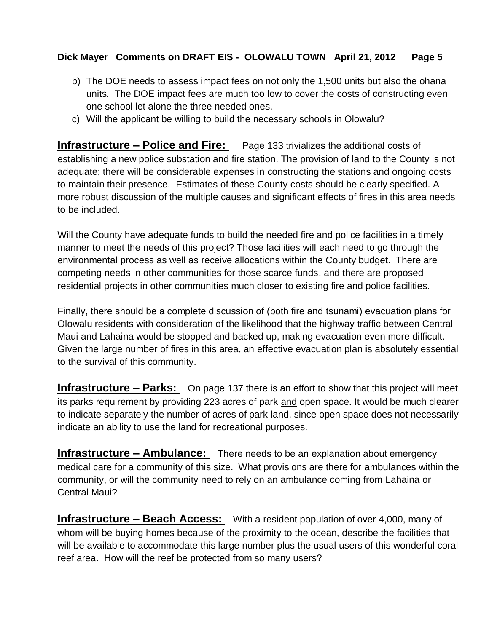- b) The DOE needs to assess impact fees on not only the 1,500 units but also the ohana units. The DOE impact fees are much too low to cover the costs of constructing even one school let alone the three needed ones.
- c) Will the applicant be willing to build the necessary schools in Olowalu?

**Infrastructure – Police and Fire:** Page 133 trivializes the additional costs of establishing a new police substation and fire station. The provision of land to the County is not adequate; there will be considerable expenses in constructing the stations and ongoing costs to maintain their presence. Estimates of these County costs should be clearly specified. A more robust discussion of the multiple causes and significant effects of fires in this area needs to be included.

Will the County have adequate funds to build the needed fire and police facilities in a timely manner to meet the needs of this project? Those facilities will each need to go through the environmental process as well as receive allocations within the County budget. There are competing needs in other communities for those scarce funds, and there are proposed residential projects in other communities much closer to existing fire and police facilities.

Finally, there should be a complete discussion of (both fire and tsunami) evacuation plans for Olowalu residents with consideration of the likelihood that the highway traffic between Central Maui and Lahaina would be stopped and backed up, making evacuation even more difficult. Given the large number of fires in this area, an effective evacuation plan is absolutely essential to the survival of this community.

**Infrastructure – Parks:** On page 137 there is an effort to show that this project will meet its parks requirement by providing 223 acres of park and open space. It would be much clearer to indicate separately the number of acres of park land, since open space does not necessarily indicate an ability to use the land for recreational purposes.

**Infrastructure – Ambulance:** There needs to be an explanation about emergency medical care for a community of this size. What provisions are there for ambulances within the community, or will the community need to rely on an ambulance coming from Lahaina or Central Maui?

**Infrastructure – Beach Access:** With a resident population of over 4,000, many of whom will be buying homes because of the proximity to the ocean, describe the facilities that will be available to accommodate this large number plus the usual users of this wonderful coral reef area. How will the reef be protected from so many users?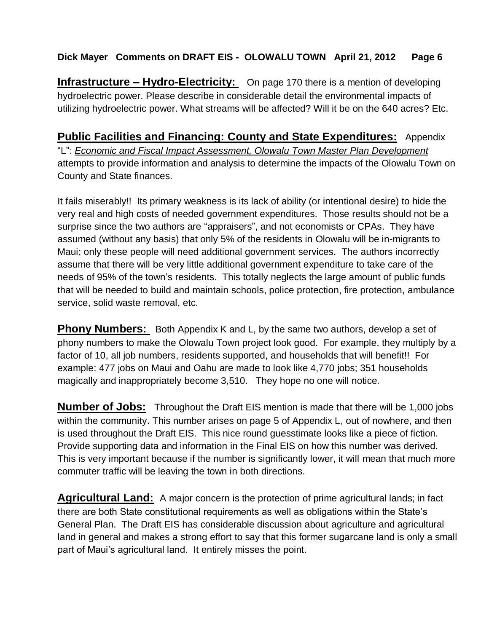**Infrastructure – Hydro-Electricity:** On page 170 there is a mention of developing hydroelectric power. Please describe in considerable detail the environmental impacts of utilizing hydroelectric power. What streams will be affected? Will it be on the 640 acres? Etc.

**Public Facilities and Financing: County and State Expenditures:** Appendix "L": *Economic and Fiscal Impact Assessment, Olowalu Town Master Plan Development* attempts to provide information and analysis to determine the impacts of the Olowalu Town on County and State finances.

It fails miserably!! Its primary weakness is its lack of ability (or intentional desire) to hide the very real and high costs of needed government expenditures. Those results should not be a surprise since the two authors are "appraisers", and not economists or CPAs. They have assumed (without any basis) that only 5% of the residents in Olowalu will be in-migrants to Maui; only these people will need additional government services. The authors incorrectly assume that there will be very little additional government expenditure to take care of the needs of 95% of the town's residents. This totally neglects the large amount of public funds that will be needed to build and maintain schools, police protection, fire protection, ambulance service, solid waste removal, etc.

**Phony Numbers:** Both Appendix K and L, by the same two authors, develop a set of phony numbers to make the Olowalu Town project look good. For example, they multiply by a factor of 10, all job numbers, residents supported, and households that will benefit!! For example: 477 jobs on Maui and Oahu are made to look like 4,770 jobs; 351 households magically and inappropriately become 3,510. They hope no one will notice.

**Number of Jobs:** Throughout the Draft EIS mention is made that there will be 1,000 jobs within the community. This number arises on page 5 of Appendix L, out of nowhere, and then is used throughout the Draft EIS. This nice round guesstimate looks like a piece of fiction. Provide supporting data and information in the Final EIS on how this number was derived. This is very important because if the number is significantly lower, it will mean that much more commuter traffic will be leaving the town in both directions.

**Agricultural Land:** A major concern is the protection of prime agricultural lands; in fact there are both State constitutional requirements as well as obligations within the State's General Plan. The Draft EIS has considerable discussion about agriculture and agricultural land in general and makes a strong effort to say that this former sugarcane land is only a small part of Maui's agricultural land. It entirely misses the point.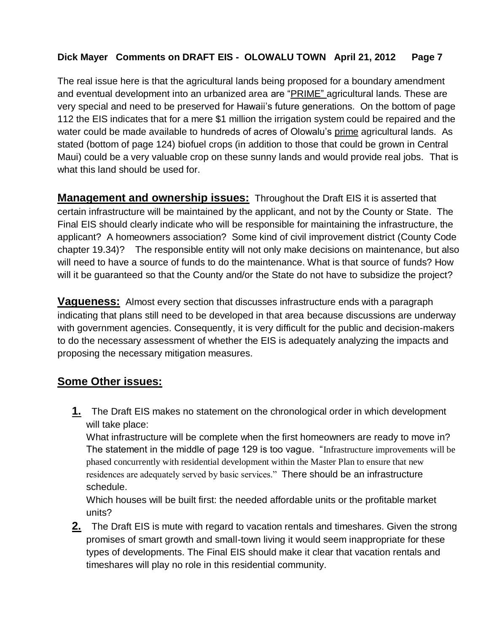The real issue here is that the agricultural lands being proposed for a boundary amendment and eventual development into an urbanized area are "PRIME" agricultural lands. These are very special and need to be preserved for Hawaii's future generations. On the bottom of page 112 the EIS indicates that for a mere \$1 million the irrigation system could be repaired and the water could be made available to hundreds of acres of Olowalu's prime agricultural lands. As stated (bottom of page 124) biofuel crops (in addition to those that could be grown in Central Maui) could be a very valuable crop on these sunny lands and would provide real jobs. That is what this land should be used for.

**Management and ownership issues:** Throughout the Draft EIS it is asserted that certain infrastructure will be maintained by the applicant, and not by the County or State. The Final EIS should clearly indicate who will be responsible for maintaining the infrastructure, the applicant? A homeowners association? Some kind of civil improvement district (County Code chapter 19.34)? The responsible entity will not only make decisions on maintenance, but also will need to have a source of funds to do the maintenance. What is that source of funds? How will it be guaranteed so that the County and/or the State do not have to subsidize the project?

**Vagueness:** Almost every section that discusses infrastructure ends with a paragraph indicating that plans still need to be developed in that area because discussions are underway with government agencies. Consequently, it is very difficult for the public and decision-makers to do the necessary assessment of whether the EIS is adequately analyzing the impacts and proposing the necessary mitigation measures.

### **Some Other issues:**

**1.** The Draft EIS makes no statement on the chronological order in which development will take place:

What infrastructure will be complete when the first homeowners are ready to move in? The statement in the middle of page 129 is too vague. "Infrastructure improvements will be phased concurrently with residential development within the Master Plan to ensure that new residences are adequately served by basic services." There should be an infrastructure schedule.

Which houses will be built first: the needed affordable units or the profitable market units?

**2.** The Draft EIS is mute with regard to vacation rentals and timeshares. Given the strong promises of smart growth and small-town living it would seem inappropriate for these types of developments. The Final EIS should make it clear that vacation rentals and timeshares will play no role in this residential community.